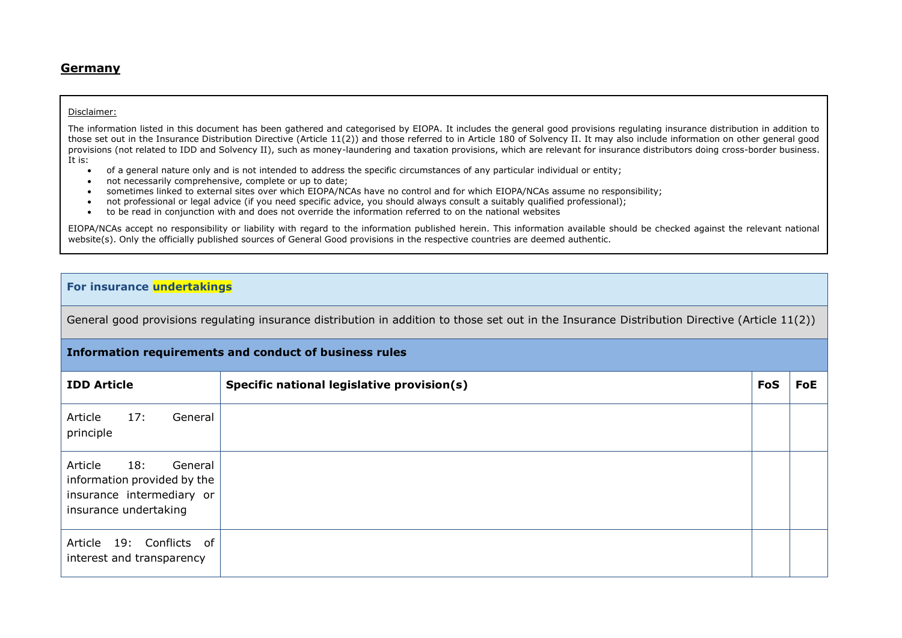#### **Germany**

#### Disclaimer:

The information listed in this document has been gathered and categorised by EIOPA. It includes the general good provisions regulating insurance distribution in addition to those set out in the Insurance Distribution Directive (Article 11(2)) and those referred to in Article 180 of Solvency II. It may also include information on other general good provisions (not related to IDD and Solvency II), such as money-laundering and taxation provisions, which are relevant for insurance distributors doing cross-border business. It is:

- of a general nature only and is not intended to address the specific circumstances of any particular individual or entity;
- not necessarily comprehensive, complete or up to date;
- sometimes linked to external sites over which EIOPA/NCAs have no control and for which EIOPA/NCAs assume no responsibility;
- not professional or legal advice (if you need specific advice, you should always consult a suitably qualified professional);
- to be read in conjunction with and does not override the information referred to on the national websites

EIOPA/NCAs accept no responsibility or liability with regard to the information published herein. This information available should be checked against the relevant national website(s). Only the officially published sources of General Good provisions in the respective countries are deemed authentic.

### **For insurance undertakings**

General good provisions regulating insurance distribution in addition to those set out in the Insurance Distribution Directive (Article 11(2))

#### **Information requirements and conduct of business rules**

| <b>IDD Article</b>                                                                                             | Specific national legislative provision(s) | FoS | FoE |
|----------------------------------------------------------------------------------------------------------------|--------------------------------------------|-----|-----|
| 17:<br>Article<br>General<br>principle                                                                         |                                            |     |     |
| 18:<br>Article<br>General<br>information provided by the<br>insurance intermediary or<br>insurance undertaking |                                            |     |     |
| Article 19: Conflicts of<br>interest and transparency                                                          |                                            |     |     |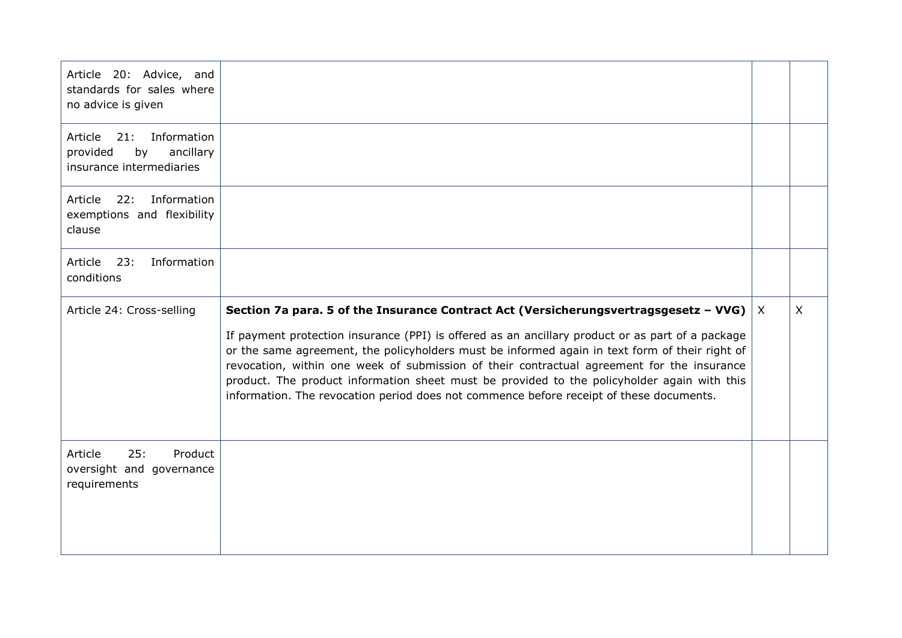| Article 20: Advice, and<br>standards for sales where<br>no advice is given         |                                                                                                                                                                                                                                                                                                                                                                                                                                                                                                                                                                                          |              |
|------------------------------------------------------------------------------------|------------------------------------------------------------------------------------------------------------------------------------------------------------------------------------------------------------------------------------------------------------------------------------------------------------------------------------------------------------------------------------------------------------------------------------------------------------------------------------------------------------------------------------------------------------------------------------------|--------------|
| Article 21: Information<br>provided<br>by<br>ancillary<br>insurance intermediaries |                                                                                                                                                                                                                                                                                                                                                                                                                                                                                                                                                                                          |              |
| Information<br>22:<br>Article<br>exemptions and flexibility<br>clause              |                                                                                                                                                                                                                                                                                                                                                                                                                                                                                                                                                                                          |              |
| Information<br>Article<br>23:<br>conditions                                        |                                                                                                                                                                                                                                                                                                                                                                                                                                                                                                                                                                                          |              |
| Article 24: Cross-selling                                                          | Section 7a para. 5 of the Insurance Contract Act (Versicherungsvertragsgesetz – VVG) $ $ X<br>If payment protection insurance (PPI) is offered as an ancillary product or as part of a package<br>or the same agreement, the policyholders must be informed again in text form of their right of<br>revocation, within one week of submission of their contractual agreement for the insurance<br>product. The product information sheet must be provided to the policyholder again with this<br>information. The revocation period does not commence before receipt of these documents. | $\mathsf{X}$ |
| 25:<br>Product<br>Article<br>oversight and governance<br>requirements              |                                                                                                                                                                                                                                                                                                                                                                                                                                                                                                                                                                                          |              |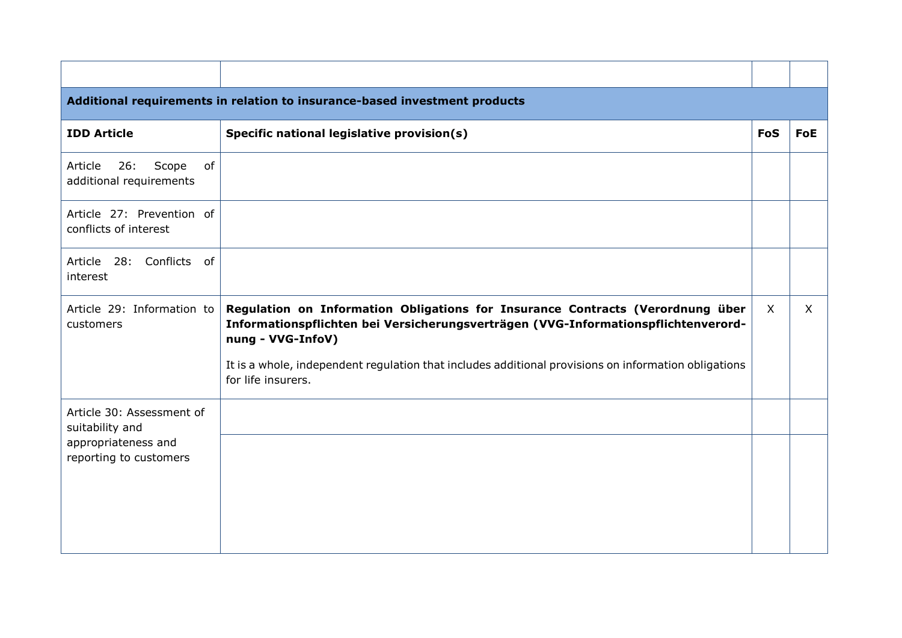| Additional requirements in relation to insurance-based investment products |                                                                                                                                                                                           |            |          |
|----------------------------------------------------------------------------|-------------------------------------------------------------------------------------------------------------------------------------------------------------------------------------------|------------|----------|
| <b>IDD Article</b>                                                         | Specific national legislative provision(s)                                                                                                                                                | <b>FoS</b> | FoE      |
| 26:<br>Scope<br>Article<br>of<br>additional requirements                   |                                                                                                                                                                                           |            |          |
| Article 27: Prevention of<br>conflicts of interest                         |                                                                                                                                                                                           |            |          |
| Article 28: Conflicts of<br>interest                                       |                                                                                                                                                                                           |            |          |
| Article 29: Information to<br>customers                                    | Regulation on Information Obligations for Insurance Contracts (Verordnung über<br>Informationspflichten bei Versicherungsverträgen (VVG-Informationspflichtenverord-<br>nung - VVG-InfoV) | $\sf X$    | $\times$ |
|                                                                            | It is a whole, independent regulation that includes additional provisions on information obligations<br>for life insurers.                                                                |            |          |
| Article 30: Assessment of<br>suitability and                               |                                                                                                                                                                                           |            |          |
| appropriateness and<br>reporting to customers                              |                                                                                                                                                                                           |            |          |
|                                                                            |                                                                                                                                                                                           |            |          |
|                                                                            |                                                                                                                                                                                           |            |          |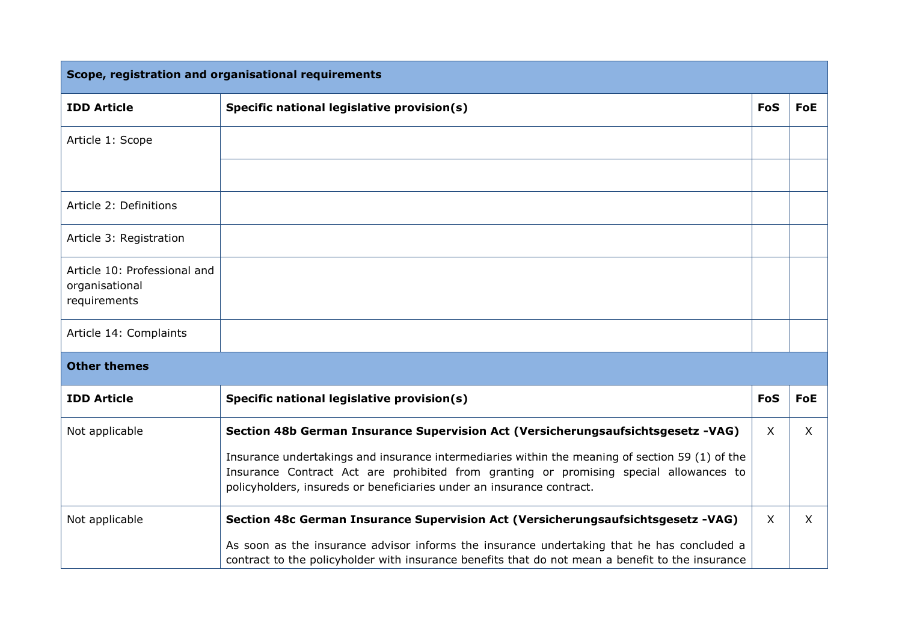| Scope, registration and organisational requirements            |                                                                                                                                                                                                                                                                                                                                                        |            |              |
|----------------------------------------------------------------|--------------------------------------------------------------------------------------------------------------------------------------------------------------------------------------------------------------------------------------------------------------------------------------------------------------------------------------------------------|------------|--------------|
| <b>IDD Article</b>                                             | Specific national legislative provision(s)                                                                                                                                                                                                                                                                                                             | FoS        | FoE          |
| Article 1: Scope                                               |                                                                                                                                                                                                                                                                                                                                                        |            |              |
|                                                                |                                                                                                                                                                                                                                                                                                                                                        |            |              |
| Article 2: Definitions                                         |                                                                                                                                                                                                                                                                                                                                                        |            |              |
| Article 3: Registration                                        |                                                                                                                                                                                                                                                                                                                                                        |            |              |
| Article 10: Professional and<br>organisational<br>requirements |                                                                                                                                                                                                                                                                                                                                                        |            |              |
| Article 14: Complaints                                         |                                                                                                                                                                                                                                                                                                                                                        |            |              |
| <b>Other themes</b>                                            |                                                                                                                                                                                                                                                                                                                                                        |            |              |
| <b>IDD Article</b>                                             | Specific national legislative provision(s)                                                                                                                                                                                                                                                                                                             | <b>FoS</b> | FoE          |
| Not applicable                                                 | Section 48b German Insurance Supervision Act (Versicherungsaufsichtsgesetz -VAG)<br>Insurance undertakings and insurance intermediaries within the meaning of section 59 (1) of the<br>Insurance Contract Act are prohibited from granting or promising special allowances to<br>policyholders, insureds or beneficiaries under an insurance contract. | X.         | $\mathsf{X}$ |
| Not applicable                                                 | Section 48c German Insurance Supervision Act (Versicherungsaufsichtsgesetz -VAG)<br>As soon as the insurance advisor informs the insurance undertaking that he has concluded a<br>contract to the policyholder with insurance benefits that do not mean a benefit to the insurance                                                                     | X.         | $\mathsf{X}$ |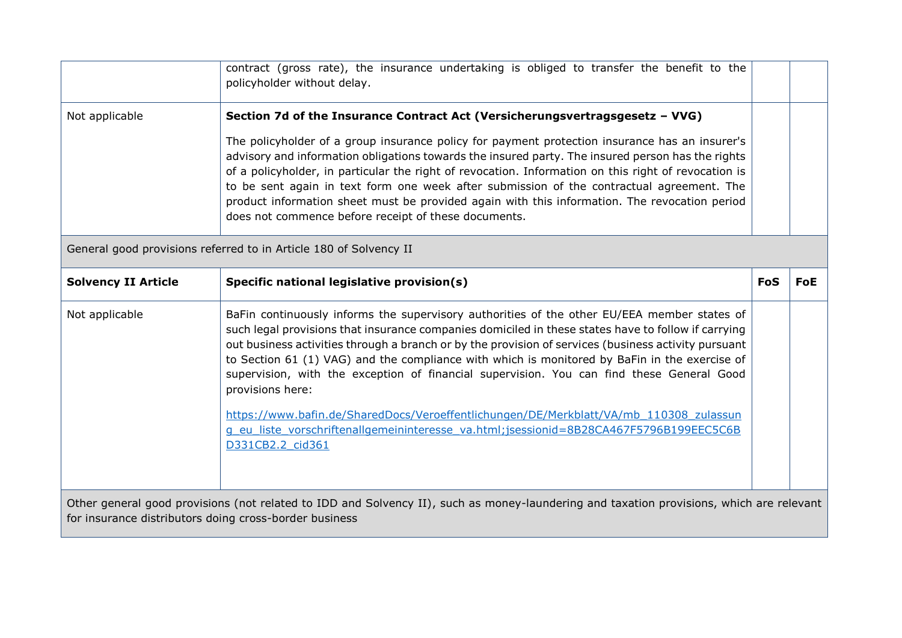|                                                                                                                                                                                                    | contract (gross rate), the insurance undertaking is obliged to transfer the benefit to the<br>policyholder without delay.                                                                                                                                                                                                                                                                                                                                                                                                                                                                                                                                                                                                            |            |            |
|----------------------------------------------------------------------------------------------------------------------------------------------------------------------------------------------------|--------------------------------------------------------------------------------------------------------------------------------------------------------------------------------------------------------------------------------------------------------------------------------------------------------------------------------------------------------------------------------------------------------------------------------------------------------------------------------------------------------------------------------------------------------------------------------------------------------------------------------------------------------------------------------------------------------------------------------------|------------|------------|
| Not applicable                                                                                                                                                                                     | Section 7d of the Insurance Contract Act (Versicherungsvertragsgesetz - VVG)<br>The policyholder of a group insurance policy for payment protection insurance has an insurer's<br>advisory and information obligations towards the insured party. The insured person has the rights<br>of a policyholder, in particular the right of revocation. Information on this right of revocation is<br>to be sent again in text form one week after submission of the contractual agreement. The<br>product information sheet must be provided again with this information. The revocation period<br>does not commence before receipt of these documents.                                                                                    |            |            |
| General good provisions referred to in Article 180 of Solvency II                                                                                                                                  |                                                                                                                                                                                                                                                                                                                                                                                                                                                                                                                                                                                                                                                                                                                                      |            |            |
| <b>Solvency II Article</b>                                                                                                                                                                         | Specific national legislative provision(s)                                                                                                                                                                                                                                                                                                                                                                                                                                                                                                                                                                                                                                                                                           | <b>FoS</b> | <b>FoE</b> |
| Not applicable                                                                                                                                                                                     | BaFin continuously informs the supervisory authorities of the other EU/EEA member states of<br>such legal provisions that insurance companies domiciled in these states have to follow if carrying<br>out business activities through a branch or by the provision of services (business activity pursuant<br>to Section 61 (1) VAG) and the compliance with which is monitored by BaFin in the exercise of<br>supervision, with the exception of financial supervision. You can find these General Good<br>provisions here:<br>https://www.bafin.de/SharedDocs/Veroeffentlichungen/DE/Merkblatt/VA/mb 110308 zulassun<br>g eu liste vorschriftenallgemeininteresse va.html;jsessionid=8B28CA467F5796B199EEC5C6B<br>D331CB2.2 cid361 |            |            |
| Other general good provisions (not related to IDD and Solvency II), such as money-laundering and taxation provisions, which are relevant<br>for insurance distributors doing cross-border business |                                                                                                                                                                                                                                                                                                                                                                                                                                                                                                                                                                                                                                                                                                                                      |            |            |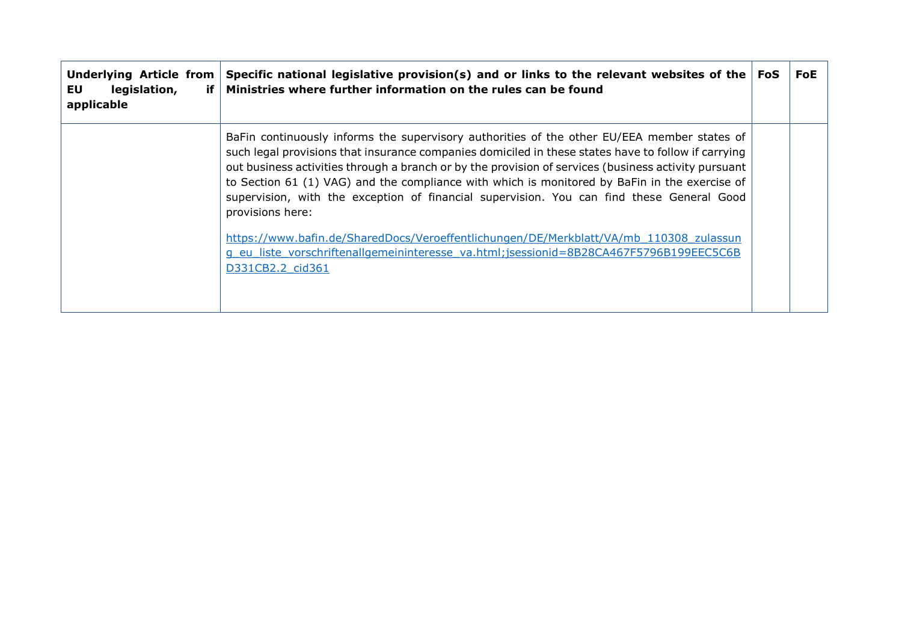| <b>Underlying Article from</b><br>legislation,<br>EU<br>-if<br>applicable | Specific national legislative provision(s) and or links to the relevant websites of the $ F$ oS<br>Ministries where further information on the rules can be found                                                                                                                                                                                                                                                                                                                                                            | FoE |
|---------------------------------------------------------------------------|------------------------------------------------------------------------------------------------------------------------------------------------------------------------------------------------------------------------------------------------------------------------------------------------------------------------------------------------------------------------------------------------------------------------------------------------------------------------------------------------------------------------------|-----|
|                                                                           | BaFin continuously informs the supervisory authorities of the other EU/EEA member states of<br>such legal provisions that insurance companies domiciled in these states have to follow if carrying<br>out business activities through a branch or by the provision of services (business activity pursuant<br>to Section 61 (1) VAG) and the compliance with which is monitored by BaFin in the exercise of<br>supervision, with the exception of financial supervision. You can find these General Good<br>provisions here: |     |
|                                                                           | https://www.bafin.de/SharedDocs/Veroeffentlichungen/DE/Merkblatt/VA/mb 110308 zulassun<br>g eu liste vorschriftenallgemeininteresse va.html; jsessionid=8B28CA467F5796B199EEC5C6B<br>D331CB2.2 cid361                                                                                                                                                                                                                                                                                                                        |     |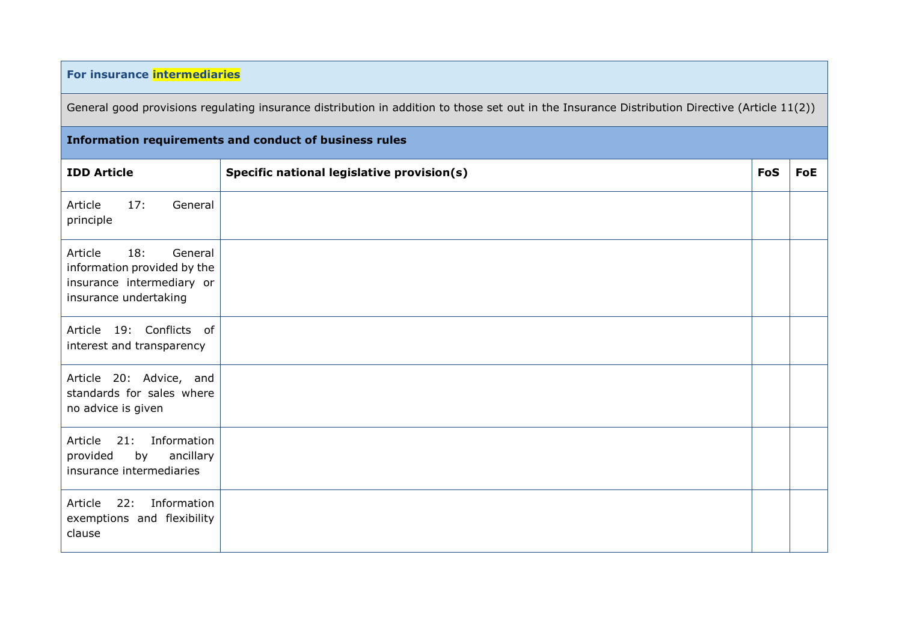## **For insurance intermediaries**

General good provisions regulating insurance distribution in addition to those set out in the Insurance Distribution Directive (Article 11(2))

# **Information requirements and conduct of business rules IDD** Article **Specific national legislative provision(s) <b>FoS FoE** Article 17: General principle Article 18: General information provided by the insurance intermediary or insurance undertaking Article 19: Conflicts of interest and transparency Article 20: Advice, and standards for sales where no advice is given Article 21: Information provided by ancillary insurance intermediaries Article 22: Information exemptions and flexibility clause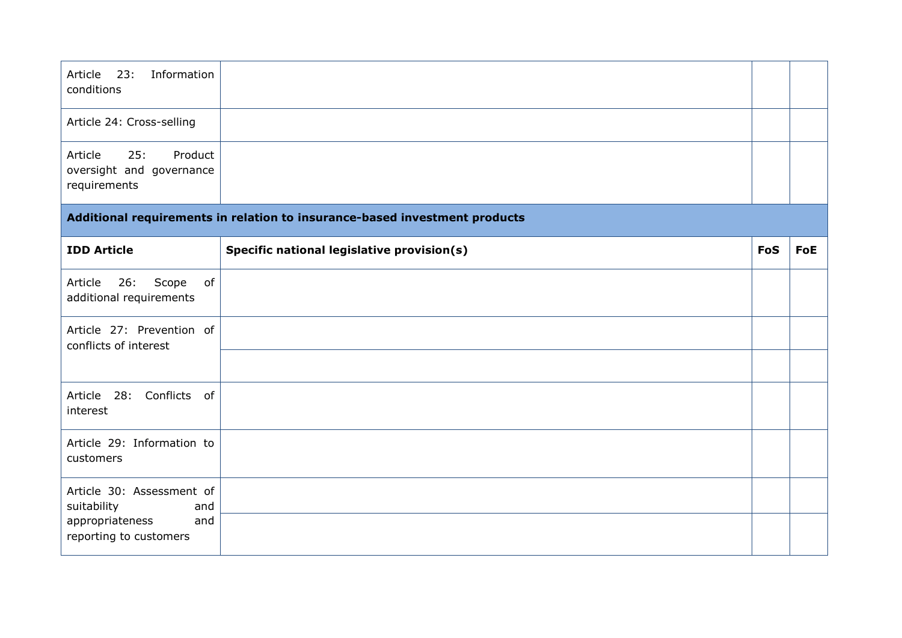| 23:<br>Information<br>Article<br>conditions                           |                                                                            |            |            |
|-----------------------------------------------------------------------|----------------------------------------------------------------------------|------------|------------|
| Article 24: Cross-selling                                             |                                                                            |            |            |
| 25:<br>Product<br>Article<br>oversight and governance<br>requirements |                                                                            |            |            |
|                                                                       | Additional requirements in relation to insurance-based investment products |            |            |
| <b>IDD Article</b>                                                    | Specific national legislative provision(s)                                 | <b>FoS</b> | <b>FoE</b> |
| 26:<br>Scope<br>Article<br>of<br>additional requirements              |                                                                            |            |            |
| Article 27: Prevention of<br>conflicts of interest                    |                                                                            |            |            |
|                                                                       |                                                                            |            |            |
| Article 28: Conflicts of<br>interest                                  |                                                                            |            |            |
| Article 29: Information to<br>customers                               |                                                                            |            |            |
| Article 30: Assessment of<br>suitability<br>and                       |                                                                            |            |            |
| appropriateness<br>and<br>reporting to customers                      |                                                                            |            |            |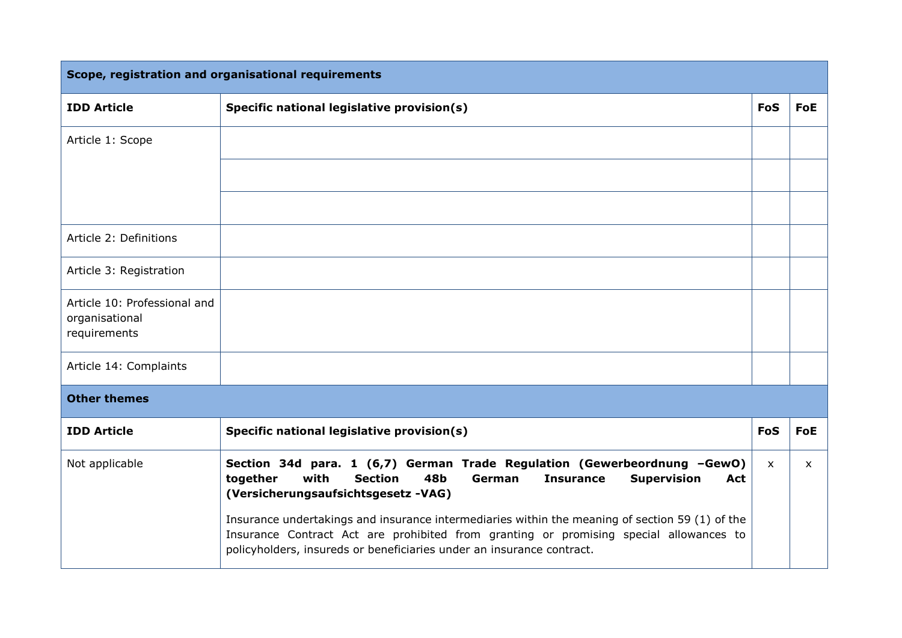| Scope, registration and organisational requirements            |                                                                                                                                                                                                                                                                    |              |              |
|----------------------------------------------------------------|--------------------------------------------------------------------------------------------------------------------------------------------------------------------------------------------------------------------------------------------------------------------|--------------|--------------|
| <b>IDD Article</b>                                             | Specific national legislative provision(s)                                                                                                                                                                                                                         | <b>FoS</b>   | <b>FoE</b>   |
| Article 1: Scope                                               |                                                                                                                                                                                                                                                                    |              |              |
|                                                                |                                                                                                                                                                                                                                                                    |              |              |
|                                                                |                                                                                                                                                                                                                                                                    |              |              |
| Article 2: Definitions                                         |                                                                                                                                                                                                                                                                    |              |              |
| Article 3: Registration                                        |                                                                                                                                                                                                                                                                    |              |              |
| Article 10: Professional and<br>organisational<br>requirements |                                                                                                                                                                                                                                                                    |              |              |
| Article 14: Complaints                                         |                                                                                                                                                                                                                                                                    |              |              |
| <b>Other themes</b>                                            |                                                                                                                                                                                                                                                                    |              |              |
| <b>IDD Article</b>                                             | Specific national legislative provision(s)                                                                                                                                                                                                                         | <b>FoS</b>   | <b>FoE</b>   |
| Not applicable                                                 | Section 34d para. 1 (6,7) German Trade Regulation (Gewerbeordnung -GewO)<br>together<br>with<br><b>Section</b><br>48 <b>b</b><br><b>Insurance</b><br><b>Supervision</b><br><b>German</b><br>Act<br>(Versicherungsaufsichtsgesetz-VAG)                              | $\mathsf{x}$ | $\mathsf{x}$ |
|                                                                | Insurance undertakings and insurance intermediaries within the meaning of section 59 (1) of the<br>Insurance Contract Act are prohibited from granting or promising special allowances to<br>policyholders, insureds or beneficiaries under an insurance contract. |              |              |